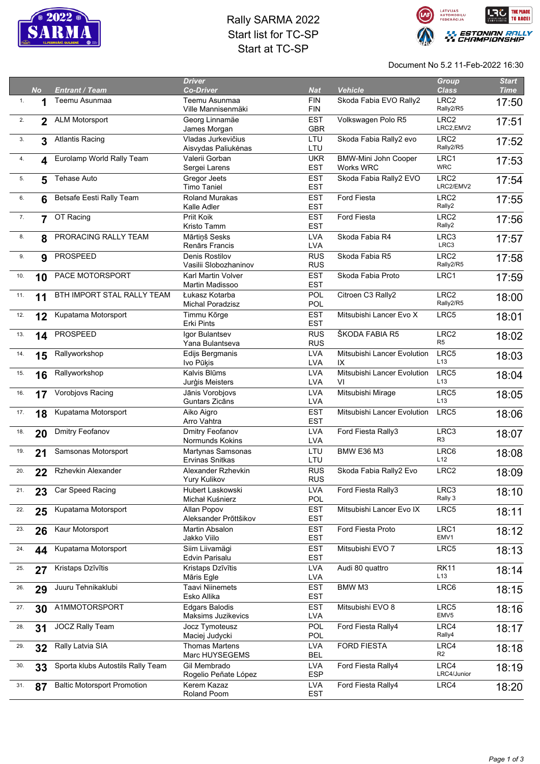

## Rally SARMA 2022 Start list for TC-SP Start at TC-SP



Document No 5.2 11-Feb-2022 16:30

|     | <b>No</b>      | <b>Entrant / Team</b>              | <b>Driver</b><br><b>Co-Driver</b>           | <b>Nat</b>               | <b>Vehicle</b>                                  | <b>Group</b><br><b>Class</b>       | <b>Start</b><br><b>Time</b> |
|-----|----------------|------------------------------------|---------------------------------------------|--------------------------|-------------------------------------------------|------------------------------------|-----------------------------|
| 1.  |                | Teemu Asunmaa                      | Teemu Asunmaa                               | <b>FIN</b>               | Skoda Fabia EVO Rally2                          | LRC <sub>2</sub>                   | 17:50                       |
| 2.  | $\overline{2}$ | <b>ALM Motorsport</b>              | Ville Mannisenmäki<br>Georg Linnamäe        | <b>FIN</b><br><b>EST</b> | Volkswagen Polo R5                              | Rally2/R5<br>LRC <sub>2</sub>      | 17:51                       |
|     |                |                                    | James Morgan                                | <b>GBR</b>               |                                                 | LRC2,EMV2                          |                             |
| 3.  | 3              | <b>Atlantis Racing</b>             | Vladas Jurkevičius<br>Aisvydas Paliukėnas   | LTU<br>LTU               | Skoda Fabia Rally2 evo                          | LRC <sub>2</sub><br>Rally2/R5      | 17:52                       |
| 4.  | 4              | Eurolamp World Rally Team          | Valerii Gorban<br>Sergei Larens             | <b>UKR</b><br><b>EST</b> | <b>BMW-Mini John Cooper</b><br><b>Works WRC</b> | LRC1<br><b>WRC</b>                 | 17:53                       |
| 5.  | 5              | Tehase Auto                        | Gregor Jeets<br><b>Timo Taniel</b>          | <b>EST</b><br><b>EST</b> | Skoda Fabia Rally2 EVO                          | LRC <sub>2</sub><br>LRC2/EMV2      | 17:54                       |
| 6.  | 6              | Betsafe Eesti Rally Team           | <b>Roland Murakas</b>                       | <b>EST</b>               | Ford Fiesta                                     | LRC <sub>2</sub>                   | 17:55                       |
| 7.  | $\overline{7}$ | OT Racing                          | Kalle Adler<br>Priit Koik                   | <b>EST</b><br><b>EST</b> | Ford Fiesta                                     | Rally2<br>LRC <sub>2</sub>         | 17:56                       |
|     |                |                                    | Kristo Tamm                                 | <b>EST</b><br><b>LVA</b> | Skoda Fabia R4                                  | Rally2<br>LRC3                     |                             |
| 8.  | 8              | PRORACING RALLY TEAM               | Mārtiņš Sesks<br>Renārs Francis             | <b>LVA</b>               |                                                 | LRC3                               | 17:57                       |
| 9.  | 9              | <b>PROSPEED</b>                    | Denis Rostilov<br>Vasilii Slobozhaninov     | <b>RUS</b><br><b>RUS</b> | Skoda Fabia R5                                  | LRC <sub>2</sub><br>Rally2/R5      | 17:58                       |
| 10. | 10             | PACE MOTORSPORT                    | <b>Karl Martin Volver</b>                   | <b>EST</b>               | Skoda Fabia Proto                               | LRC1                               | 17:59                       |
| 11. | 11             | BTH IMPORT STAL RALLY TEAM         | Martin Madissoo<br>Łukasz Kotarba           | <b>EST</b><br>POL        | Citroen C3 Rally2                               | LRC <sub>2</sub>                   | 18:00                       |
|     |                |                                    | Michal Poradzisz                            | POL                      |                                                 | Rally2/R5                          |                             |
| 12. | 12             | Kupatama Motorsport                | Timmu Kõrge<br><b>Erki Pints</b>            | <b>EST</b><br><b>EST</b> | Mitsubishi Lancer Evo X                         | LRC5                               | 18:01                       |
| 13. | 14             | <b>PROSPEED</b>                    | Igor Bulantsev<br>Yana Bulantseva           | <b>RUS</b><br><b>RUS</b> | ŠKODA FABIA R5                                  | LRC <sub>2</sub><br>R <sub>5</sub> | 18:02                       |
| 14. | 15             | Rallyworkshop                      | Edijs Bergmanis<br>Ivo Pūķis                | <b>LVA</b><br><b>LVA</b> | Mitsubishi Lancer Evolution<br>IX               | LRC5<br>L <sub>13</sub>            | 18:03                       |
| 15. | 16             | Rallyworkshop                      | Kalvis Blūms<br>Jurģis Meisters             | <b>LVA</b><br><b>LVA</b> | Mitsubishi Lancer Evolution<br>VI               | LRC5<br>L13                        | 18:04                       |
| 16. | 17             | Vorobjovs Racing                   | Jānis Vorobjovs<br>Guntars Zicāns           | <b>LVA</b>               | Mitsubishi Mirage                               | LRC5<br>L13                        | 18:05                       |
| 17. | 18             | Kupatama Motorsport                | Aiko Aigro                                  | <b>LVA</b><br><b>EST</b> | Mitsubishi Lancer Evolution                     | LRC5                               | 18:06                       |
| 18. | 20             | Dmitry Feofanov                    | Arro Vahtra<br>Dmitry Feofanov              | <b>EST</b><br><b>LVA</b> | Ford Fiesta Rally3                              | LRC3                               | 18:07                       |
| 19. | 21             | Samsonas Motorsport                | Normunds Kokins<br>Martynas Samsonas        | <b>LVA</b><br>LTU        | <b>BMW E36 M3</b>                               | R <sub>3</sub><br>LRC6             | 18:08                       |
|     |                |                                    | Ervinas Snitkas                             | LTU                      |                                                 | L12                                |                             |
| 20. | 22             | Rzhevkin Alexander                 | Alexander Rzhevkin<br>Yury Kulikov          | <b>RUS</b><br><b>RUS</b> | Skoda Fabia Rally2 Evo                          | LRC <sub>2</sub>                   | 18:09                       |
| 21. | 23             | Car Speed Racing                   | Hubert Laskowski<br>Michał Kuśnierz         | <b>LVA</b><br><b>POL</b> | Ford Fiesta Rally3                              | LRC3<br>Rally 3                    | 18:10                       |
| 22. | 25             | Kupatama Motorsport                | Allan Popov<br>Aleksander Prõttšikov        | <b>EST</b><br><b>EST</b> | Mitsubishi Lancer Evo IX                        | LRC5                               | 18:11                       |
| 23. | 26             | Kaur Motorsport                    | Martin Absalon<br>Jakko Viilo               | <b>EST</b><br><b>EST</b> | Ford Fiesta Proto                               | LRC1<br>EMV1                       | 18:12                       |
| 24. | 44             | Kupatama Motorsport                | Siim Liivamägi<br>Edvin Parisalu            | <b>EST</b><br><b>EST</b> | Mitsubishi EVO 7                                | LRC5                               | 18:13                       |
| 25. | 27             | Kristaps Dzīvītis                  | Kristaps Dzīvītis<br>Māris Egle             | <b>LVA</b><br><b>LVA</b> | Audi 80 quattro                                 | <b>RK11</b><br>L <sub>13</sub>     | 18:14                       |
| 26. | 29             | Juuru Tehnikaklubi                 | <b>Taavi Niinemets</b><br>Esko Allika       | <b>EST</b><br><b>EST</b> | BMW M3                                          | LRC6                               | 18:15                       |
| 27. | 30             | A1MMOTORSPORT                      | <b>Edgars Balodis</b><br>Maksims Juzikevics | <b>EST</b><br><b>LVA</b> | Mitsubishi EVO 8                                | LRC5<br>EMV <sub>5</sub>           | 18:16                       |
| 28. | 31             | <b>JOCZ Rally Team</b>             | Jocz Tymoteusz<br>Maciej Judycki            | <b>POL</b><br>POL        | Ford Fiesta Rally4                              | LRC4<br>Rally4                     | 18:17                       |
| 29. | 32             | Rally Latvia SIA                   | <b>Thomas Martens</b><br>Marc HUYSEGEMS     | <b>LVA</b><br><b>BEL</b> | <b>FORD FIESTA</b>                              | LRC4<br>R <sub>2</sub>             | 18:18                       |
| 30. | 33             | Sporta klubs Autostils Rally Team  | Gil Membrado                                | <b>LVA</b><br><b>ESP</b> | Ford Fiesta Rally4                              | LRC4<br>LRC4/Junior                | 18:19                       |
| 31. | 87             | <b>Baltic Motorsport Promotion</b> | Rogelio Peñate López<br>Kerem Kazaz         | <b>LVA</b>               | Ford Fiesta Rally4                              | LRC4                               | 18:20                       |
|     |                |                                    | Roland Poom                                 | <b>EST</b>               |                                                 |                                    |                             |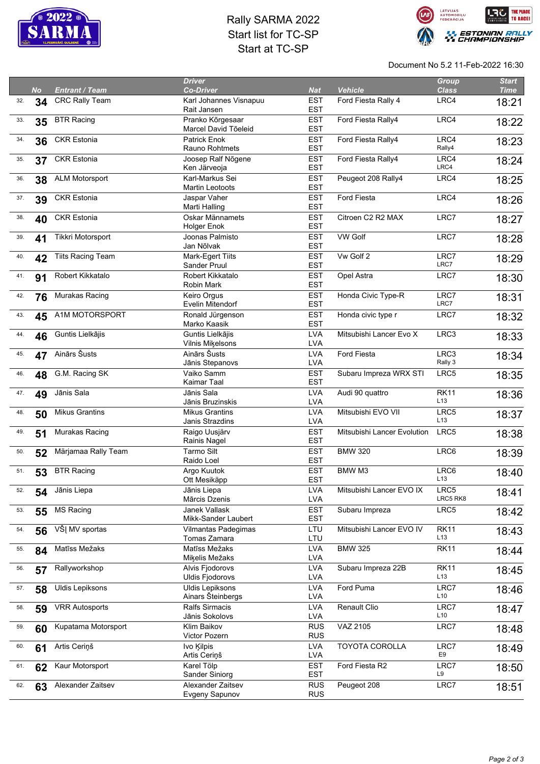

## Rally SARMA 2022 Start list for TC-SP Start at TC-SP



Document No 5.2 11-Feb-2022 16:30

|     | <b>No</b> | <b>Entrant / Team</b>    | <b>Driver</b><br><b>Co-Driver</b>           | <b>Nat</b>               | <b>Vehicle</b>              | <b>Group</b><br><b>Class</b>   | <b>Start</b><br><b>Time</b> |
|-----|-----------|--------------------------|---------------------------------------------|--------------------------|-----------------------------|--------------------------------|-----------------------------|
| 32. | 34        | <b>CRC Rally Team</b>    | Karl Johannes Visnapuu<br>Rait Jansen       | <b>EST</b><br><b>EST</b> | Ford Fiesta Rally 4         | LRC4                           | 18:21                       |
| 33. | 35        | <b>BTR Racing</b>        | Pranko Kõrgesaar<br>Marcel David Tõeleid    | <b>EST</b><br><b>EST</b> | Ford Fiesta Rally4          | LRC4                           | 18:22                       |
| 34. | 36        | <b>CKR Estonia</b>       | <b>Patrick Enok</b><br>Rauno Rohtmets       | <b>EST</b><br><b>EST</b> | Ford Fiesta Rally4          | LRC4<br>Rally4                 | 18:23                       |
| 35. | 37        | <b>CKR Estonia</b>       | Joosep Ralf Nõgene<br>Ken Järveoja          | <b>EST</b><br><b>EST</b> | Ford Fiesta Rally4          | LRC4<br>LRC4                   | 18:24                       |
| 36. | 38        | <b>ALM Motorsport</b>    | Karl-Markus Sei<br>Martin Leotoots          | <b>EST</b><br><b>EST</b> | Peugeot 208 Rally4          | LRC4                           | 18:25                       |
| 37. | 39        | <b>CKR Estonia</b>       | Jaspar Vaher<br>Marti Halling               | <b>EST</b><br><b>EST</b> | Ford Fiesta                 | LRC4                           | 18:26                       |
| 38. | 40        | <b>CKR Estonia</b>       | Oskar Männamets<br><b>Holger Enok</b>       | <b>EST</b><br><b>EST</b> | Citroen C2 R2 MAX           | LRC7                           | 18:27                       |
| 39. | 41        | Tikkri Motorsport        | Joonas Palmisto<br>Jan Nõlvak               | <b>EST</b><br><b>EST</b> | <b>VW Golf</b>              | LRC7                           | 18:28                       |
| 40. | 42        | <b>Tiits Racing Team</b> | Mark-Egert Tiits<br>Sander Pruul            | <b>EST</b><br><b>EST</b> | Vw Golf 2                   | LRC7<br>LRC7                   | 18:29                       |
| 41. | 91        | Robert Kikkatalo         | Robert Kikkatalo<br>Robin Mark              | <b>EST</b><br><b>EST</b> | Opel Astra                  | LRC7                           | 18:30                       |
| 42. | 76        | Murakas Racing           | Keiro Orgus<br>Evelin Mitendorf             | <b>EST</b><br><b>EST</b> | Honda Civic Type-R          | LRC7<br>LRC7                   | 18:31                       |
| 43. | 45        | A1M MOTORSPORT           | Ronald Jürgenson<br>Marko Kaasik            | <b>EST</b><br><b>EST</b> | Honda civic type r          | LRC7                           | 18:32                       |
| 44. | 46        | Guntis Lielkājis         | Guntis Lielkājis<br>Vilnis Mikelsons        | <b>LVA</b><br><b>LVA</b> | Mitsubishi Lancer Evo X     | LRC3                           | 18:33                       |
| 45. | 47        | Ainārs Šusts             | Ainārs Šusts<br>Jānis Stepanovs             | <b>LVA</b><br><b>LVA</b> | Ford Fiesta                 | LRC3<br>Rally 3                | 18:34                       |
| 46. | 48        | G.M. Racing SK           | Vaiko Samm<br>Kaimar Taal                   | <b>EST</b><br><b>EST</b> | Subaru Impreza WRX STI      | LRC5                           | 18:35                       |
| 47. | 49        | Jānis Sala               | Jānis Sala<br>Jānis Bruzinskis              | <b>LVA</b><br><b>LVA</b> | Audi 90 quattro             | <b>RK11</b><br>L <sub>13</sub> | 18:36                       |
| 48. | 50        | <b>Mikus Grantins</b>    | <b>Mikus Grantins</b><br>Janis Strazdins    | <b>LVA</b><br><b>LVA</b> | Mitsubishi EVO VII          | LRC5<br>L13                    | 18:37                       |
| 49. | 51        | Murakas Racing           | Raigo Uusjärv<br>Rainis Nagel               | <b>EST</b><br><b>EST</b> | Mitsubishi Lancer Evolution | LRC5                           | 18:38                       |
| 50. | 52        | Märjamaa Rally Team      | Tarmo Silt<br>Raido Loel                    | <b>EST</b><br><b>EST</b> | <b>BMW 320</b>              | LRC6                           | 18:39                       |
| 51. | 53        | <b>BTR Racing</b>        | Argo Kuutok<br>Ott Mesikäpp                 | <b>EST</b><br><b>EST</b> | BMW M3                      | LRC6<br>L13                    | 18:40                       |
| 52. | 54        | Jānis Liepa              | Jānis Liepa<br>Mārcis Dzenis                | <b>LVA</b><br><b>LVA</b> | Mitsubishi Lancer EVO IX    | LRC5<br>LRC5 RK8               | 18:41                       |
| 53. | 55        | <b>MS Racing</b>         | Janek Vallask<br>Mikk-Sander Laubert        | <b>EST</b><br><b>EST</b> | Subaru Impreza              | LRC5                           | 18:42                       |
| 54. | 56        | VŠĮ MV sportas           | Vilmantas Padegimas<br>Tomas Zamara         | LTU<br>LTU               | Mitsubishi Lancer EVO IV    | <b>RK11</b><br>L <sub>13</sub> | 18:43                       |
| 55. | 84        | Matīss Mežaks            | Matīss Mežaks<br>Miķelis Mežaks             | <b>LVA</b><br><b>LVA</b> | <b>BMW 325</b>              | <b>RK11</b>                    | 18:44                       |
| 56. | 57        | Rallyworkshop            | Alvis Fjodorovs<br><b>Uldis Fjodorovs</b>   | <b>LVA</b><br><b>LVA</b> | Subaru Impreza 22B          | <b>RK11</b><br>L13             | 18:45                       |
| 57. | 58        | <b>Uldis Lepiksons</b>   | <b>Uldis Lepiksons</b><br>Ainars Šteinbergs | <b>LVA</b><br><b>LVA</b> | Ford Puma                   | LRC7<br>L10                    | 18:46                       |
| 58. | 59        | <b>VRR Autosports</b>    | Ralfs Sirmacis<br>Jānis Sokolovs            | <b>LVA</b><br><b>LVA</b> | Renault Clio                | LRC7<br>L10                    | 18:47                       |
| 59. | 60        | Kupatama Motorsport      | Klim Baikov<br>Victor Pozern                | <b>RUS</b><br><b>RUS</b> | VAZ 2105                    | LRC7                           | 18:48                       |
| 60. | 61        | Artis Ceriņš             | Ivo Kilpis<br>Artis Ceriņš                  | <b>LVA</b><br><b>LVA</b> | <b>TOYOTA COROLLA</b>       | LRC7<br>E9                     | 18:49                       |
| 61. | 62        | Kaur Motorsport          | Karel Tölp<br>Sander Siniorg                | <b>EST</b><br><b>EST</b> | Ford Fiesta R2              | LRC7<br>L9                     | 18:50                       |
| 62. | 63        | Alexander Zaitsev        | Alexander Zaitsev<br>Evgeny Sapunov         | <b>RUS</b><br><b>RUS</b> | Peugeot 208                 | LRC7                           | 18:51                       |